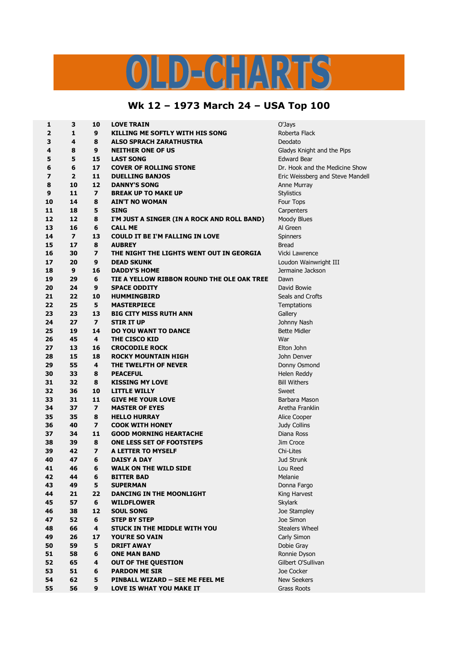## LD-CHARTS  $\overline{U}$

## **Wk 12 – 1973 March 24 – USA Top 100**

| 1              | 3              | 10                      | <b>LOVE TRAIN</b>                           | O'Jays                           |
|----------------|----------------|-------------------------|---------------------------------------------|----------------------------------|
| $\overline{2}$ | 1              | 9                       | <b>KILLING ME SOFTLY WITH HIS SONG</b>      | Roberta Flack                    |
| 3              | 4              | 8                       | <b>ALSO SPRACH ZARATHUSTRA</b>              | Deodato                          |
| 4              | 8              | 9                       | <b>NEITHER ONE OF US</b>                    | Gladys Knight and the Pips       |
| 5              | 5              | 15                      | <b>LAST SONG</b>                            | <b>Edward Bear</b>               |
| 6              | 6              | 17                      | <b>COVER OF ROLLING STONE</b>               | Dr. Hook and the Medicine Show   |
| $\overline{ }$ | $\overline{2}$ | 11                      | <b>DUELLING BANJOS</b>                      | Eric Weissberg and Steve Mandell |
| 8              | 10             | 12                      | <b>DANNY'S SONG</b>                         | Anne Murray                      |
| 9              | 11             | $\overline{ }$          | <b>BREAK UP TO MAKE UP</b>                  |                                  |
|                | 14             | 8                       |                                             | <b>Stylistics</b>                |
| 10             |                |                         | <b>AIN'T NO WOMAN</b>                       | Four Tops                        |
| 11             | 18             | 5                       | <b>SING</b>                                 | Carpenters                       |
| 12             | 12             | 8                       | I'M JUST A SINGER (IN A ROCK AND ROLL BAND) | Moody Blues                      |
| 13             | 16             | 6                       | <b>CALL ME</b>                              | Al Green                         |
| 14             | $\overline{7}$ | 13                      | <b>COULD IT BE I'M FALLING IN LOVE</b>      | Spinners                         |
| 15             | 17             | 8                       | <b>AUBREY</b>                               | Bread                            |
| 16             | 30             | $\overline{ }$          | THE NIGHT THE LIGHTS WENT OUT IN GEORGIA    | Vicki Lawrence                   |
| 17             | 20             | 9                       | <b>DEAD SKUNK</b>                           | Loudon Wainwright III            |
| 18             | 9              | 16                      | <b>DADDY'S HOME</b>                         | Jermaine Jackson                 |
| 19             | 29             | 6                       | TIE A YELLOW RIBBON ROUND THE OLE OAK TREE  | Dawn                             |
| 20             | 24             | 9                       | <b>SPACE ODDITY</b>                         | David Bowie                      |
| 21             | 22             | 10                      | <b>HUMMINGBIRD</b>                          | Seals and Crofts                 |
| 22             | 25             | 5                       | <b>MASTERPIECE</b>                          | Temptations                      |
| 23             | 23             | 13                      | <b>BIG CITY MISS RUTH ANN</b>               | Gallery                          |
| 24             | 27             | $\overline{z}$          | <b>STIR IT UP</b>                           | Johnny Nash                      |
| 25             | 19             | 14                      | <b>DO YOU WANT TO DANCE</b>                 | <b>Bette Midler</b>              |
| 26             | 45             | 4                       | THE CISCO KID                               | War                              |
| 27             | 13             | 16                      | <b>CROCODILE ROCK</b>                       | Elton John                       |
| 28             | 15             | 18                      | <b>ROCKY MOUNTAIN HIGH</b>                  | John Denver                      |
| 29             | 55             | 4                       | THE TWELFTH OF NEVER                        | Donny Osmond                     |
| 30             | 33             | 8                       | <b>PEACEFUL</b>                             | Helen Reddy                      |
| 31             | 32             | 8                       | <b>KISSING MY LOVE</b>                      | <b>Bill Withers</b>              |
| 32             | 36             | 10                      | <b>LITTLE WILLY</b>                         | Sweet                            |
| 33             | 31             | 11                      | <b>GIVE ME YOUR LOVE</b>                    | Barbara Mason                    |
| 34             | 37             | $\overline{\mathbf{z}}$ | <b>MASTER OF EYES</b>                       | Aretha Franklin                  |
| 35             | 35             | 8                       | <b>HELLO HURRAY</b>                         | Alice Cooper                     |
|                | 40             | $\overline{\mathbf{z}}$ | <b>COOK WITH HONEY</b>                      |                                  |
| 36             |                |                         |                                             | Judy Collins<br>Diana Ross       |
| 37             | 34             | 11                      | <b>GOOD MORNING HEARTACHE</b>               |                                  |
| 38             | 39             | 8                       | ONE LESS SET OF FOOTSTEPS                   | Jim Croce                        |
| 39             | 42             | $\overline{\mathbf{z}}$ | A LETTER TO MYSELF                          | Chi-Lites                        |
| 40             | 47             | 6                       | <b>DAISY A DAY</b>                          | Jud Strunk                       |
| 41             | 46             | 6                       | <b>WALK ON THE WILD SIDE</b>                | Lou Reed                         |
| 42             | 44             | 6                       | <b>BITTER BAD</b>                           | Melanie                          |
| 43             | 49             | 5                       | <b>SUPERMAN</b>                             | Donna Fargo                      |
| 44             | 21             | 22                      | <b>DANCING IN THE MOONLIGHT</b>             | King Harvest                     |
| 45             | 57             | 6                       | <b>WILDFLOWER</b>                           | Skylark                          |
| 46             | 38             | $12 \overline{ }$       | <b>SOUL SONG</b>                            | Joe Stampley                     |
| 47             | 52             | 6                       | <b>STEP BY STEP</b>                         | Joe Simon                        |
| 48             | 66             | 4                       | <b>STUCK IN THE MIDDLE WITH YOU</b>         | <b>Stealers Wheel</b>            |
| 49             | 26             | 17                      | <b>YOU'RE SO VAIN</b>                       | Carly Simon                      |
| 50             | 59             | 5                       | <b>DRIFT AWAY</b>                           | Dobie Gray                       |
| 51             | 58             | 6                       | <b>ONE MAN BAND</b>                         | Ronnie Dyson                     |
| 52             | 65             | 4                       | <b>OUT OF THE QUESTION</b>                  | Gilbert O'Sullivan               |
| 53             | 51             | 6                       | <b>PARDON ME SIR</b>                        | Joe Cocker                       |
| 54             | 62             | 5                       | PINBALL WIZARD - SEE ME FEEL ME             | <b>New Seekers</b>               |
| 55             | 56             | 9                       | <b>LOVE IS WHAT YOU MAKE IT</b>             | Grass Roots                      |
|                |                |                         |                                             |                                  |